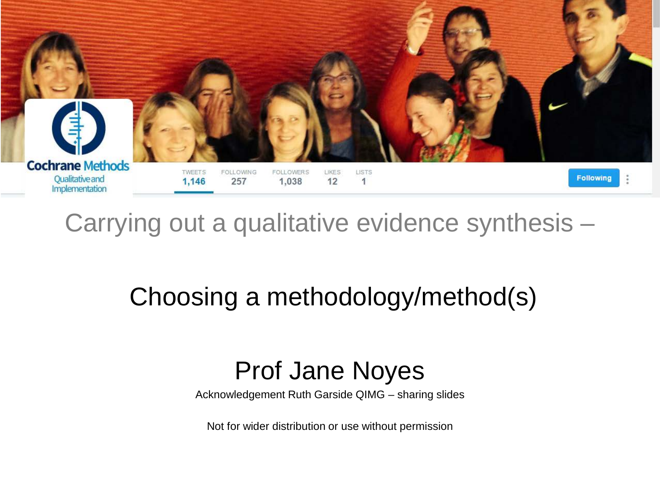

Carrying out a qualitative evidence synthesis –

### Choosing a methodology/method(s)

### Prof Jane Noyes

Acknowledgement Ruth Garside QIMG – sharing slides

Not for wider distribution or use without permission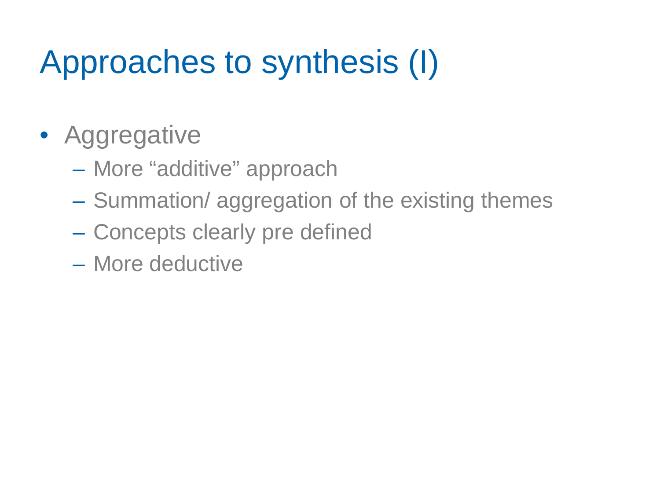## Approaches to synthesis (I)

## • Aggregative

- More "additive" approach
- Summation/ aggregation of the existing themes
- Concepts clearly pre defined
- More deductive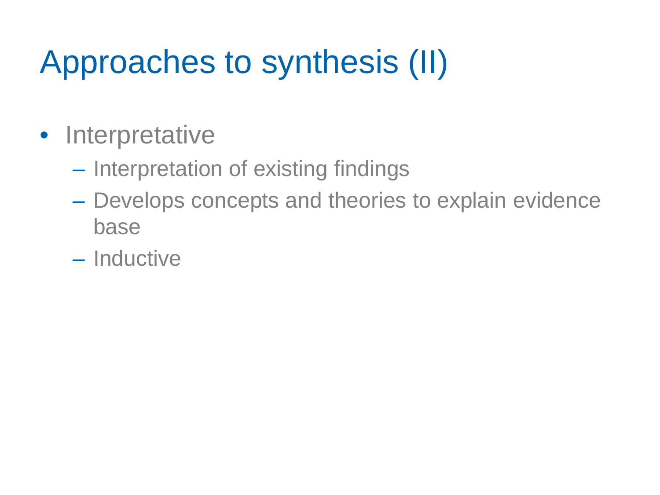## Approaches to synthesis (II)

- Interpretative
	- Interpretation of existing findings
	- Develops concepts and theories to explain evidence base
	- Inductive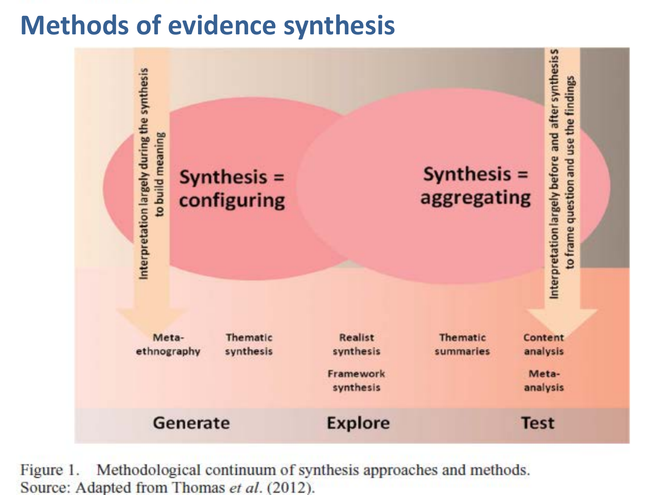### **Evidence Synthesis Methods Methods of evidence synthesis**



Figure 1. Methodological continuum of synthesis approaches and methods. Source: Adapted from Thomas et al. (2012).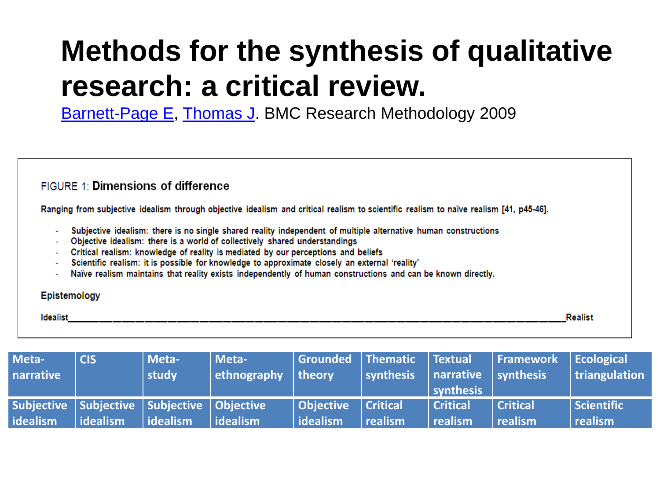## **Methods for the synthesis of qualitative research: a critical review.**

[Barnett-Page E,](http://www.ncbi.nlm.nih.gov/pubmed?term=Barnett-Page%20E%5BAuthor%5D&cauthor=true&cauthor_uid=19671152) [Thomas J](http://www.ncbi.nlm.nih.gov/pubmed?term=Thomas%20J%5BAuthor%5D&cauthor=true&cauthor_uid=19671152). BMC Research Methodology 2009

#### FIGURE 1: Dimensions of difference

Ranging from subjective idealism through objective idealism and critical realism to scientific realism to naïve realism [41, p45-46].

- Subjective idealism: there is no single shared reality independent of multiple alternative human constructions
- Objective idealism: there is a world of collectively shared understandings
- Critical realism: knowledge of reality is mediated by our perceptions and beliefs
- Scientific realism: it is possible for knowledge to approximate closely an external 'reality'
- Naïve realism maintains that reality exists independently of human constructions and can be known directly.

#### Epistemology

Idealist **Realist** 

| Meta-<br>narrative | <b>CIS</b>                                                     | Meta-<br>study | Meta-<br>ethnography | theory                              | $\parallel$ Grounded $\parallel$ Thematic $\parallel$ Textual<br>synthesis | $\vert$ narrative $\vert$ synthesis<br>synthesis | <b>Framework</b>           | $ $ Ecological<br>$ $ triangulation |
|--------------------|----------------------------------------------------------------|----------------|----------------------|-------------------------------------|----------------------------------------------------------------------------|--------------------------------------------------|----------------------------|-------------------------------------|
| idealism           | Subjective   Subjective   Subjective   Objective<br>l idealism | l idealism     | l idealism           | <b>Objective</b><br><b>idealism</b> | ll Critical.<br>  realism                                                  | Critical<br>realism                              | <b>Critical</b><br>realism | Scientific<br><b>Tealism</b>        |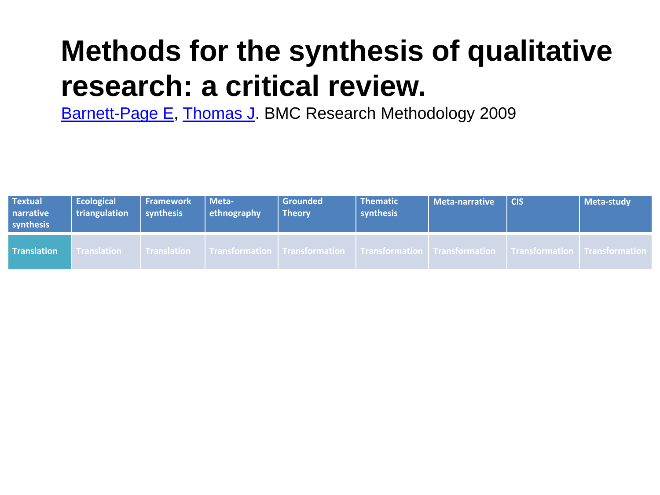## **Methods for the synthesis of qualitative research: a critical review.**

[Barnett-Page E,](http://www.ncbi.nlm.nih.gov/pubmed?term=Barnett-Page%20E%5BAuthor%5D&cauthor=true&cauthor_uid=19671152) [Thomas J](http://www.ncbi.nlm.nih.gov/pubmed?term=Thomas%20J%5BAuthor%5D&cauthor=true&cauthor_uid=19671152). BMC Research Methodology 2009

| <b>Textual</b><br>narrative<br>synthesis | Ecological<br>triangulation | <b>Framework</b><br>synthesis | Meta-<br>ethnography | Grounded<br><b>Theory</b> | <b>Thematic</b><br>synthesis | Meta-narrative                                                                                                                      | <b>CIS</b> | Meta-study |
|------------------------------------------|-----------------------------|-------------------------------|----------------------|---------------------------|------------------------------|-------------------------------------------------------------------------------------------------------------------------------------|------------|------------|
| <b>Translation</b>                       | <b>Translation</b>          | l Translation                 |                      |                           |                              | $\mid$ Transformation $\mid$ Transformation $\mid$ Transformation $\mid$ Transformation $\mid$ Transformation $\mid$ Transformation |            |            |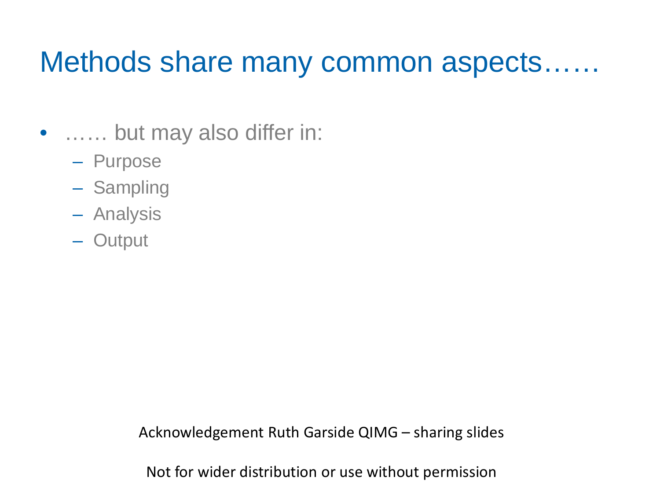## Methods share many common aspects……

- …… but may also differ in:
	- Purpose
	- Sampling
	- Analysis
	- Output

Acknowledgement Ruth Garside QIMG – sharing slides

Not for wider distribution or use without permission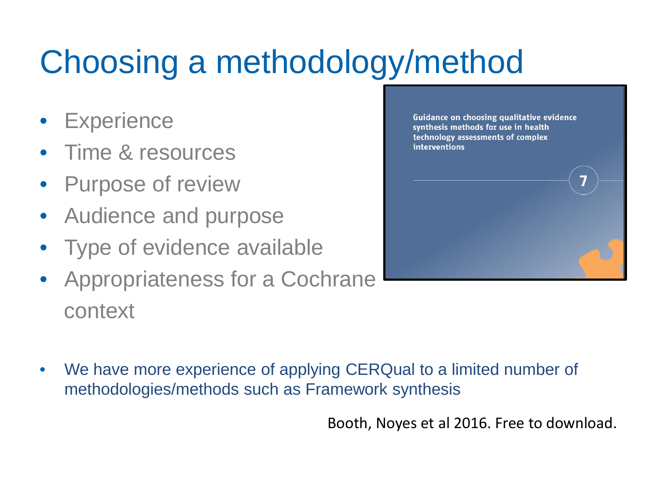# Choosing a methodology/method

- **Experience**
- Time & resources
- Purpose of review
- Audience and purpose
- Type of evidence available
- Appropriateness for a Cochrane context



• We have more experience of applying CERQual to a limited number of methodologies/methods such as Framework synthesis

Booth, Noyes et al 2016. Free to download.